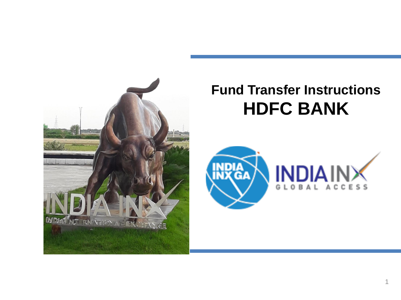

# **Fund Transfer Instructions HDFC BANK**

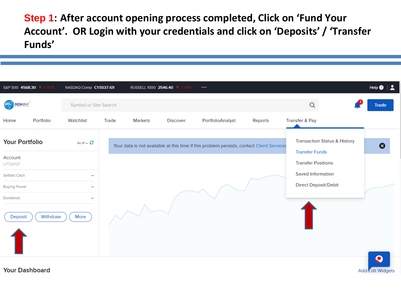**Step 1: After account opening process completed, Click on 'Fund Your Account'. OR Login with your credentials and click on 'Deposits' / 'Transfer Funds'**

| S&P 500 4568.30 V-1.87%          | NASDAQ Comp C15537.69 |       |         | RUSSELL 1000 2546.40 ▼ -1.94% | $\cdots$                                                                                  |         |                                                       | Help $\bullet$   $\bullet$ |
|----------------------------------|-----------------------|-------|---------|-------------------------------|-------------------------------------------------------------------------------------------|---------|-------------------------------------------------------|----------------------------|
| INDIAINX<br>殿                    | Symbol or Site Search |       |         |                               |                                                                                           |         | Q                                                     | <b>Trade</b>               |
| Portfolio<br>Home                | Watchlist             | Trade | Markets | Discover                      | PortfolioAnalyst                                                                          | Reports | Transfer & Pay                                        |                            |
| <b>Your Portfolio</b>            | As of $ \mathcal{C}$  |       |         |                               | Your data is not available at this time If this problem persists, contact Client Services |         | Transaction Status & History<br><b>Transfer Funds</b> | Ø                          |
| Account<br>U7720137              |                       |       |         |                               |                                                                                           |         | <b>Transfer Positions</b>                             |                            |
| Settled Cash                     |                       |       |         |                               |                                                                                           |         | Saved Information                                     |                            |
| <b>Buying Power</b>              | -                     |       |         |                               |                                                                                           |         | Direct Deposit/Debit                                  |                            |
| Dividends<br>Withdraw<br>Deposit | More                  |       |         |                               |                                                                                           |         |                                                       | $\Omega$                   |

**Add/Edit Widget** 

**Your Dashboard**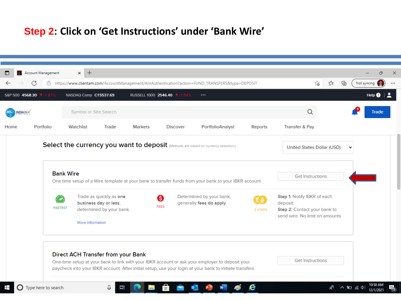## **Step 2: Click on 'Get Instructions' under 'Bank Wire'**

| $\blacksquare$                            | Account Management<br>C<br>ö                                                                                              | $\times$ +                         |                                                                              |                              |                 | https://www.clientam.com/AccountManagement/AmAuthentication?action=FUND_TRANSFERS&type=DEPOSIT                                                                                                              |         | ్త                                                                                                         | ⊕<br>√≣ | Not syncing |                       |
|-------------------------------------------|---------------------------------------------------------------------------------------------------------------------------|------------------------------------|------------------------------------------------------------------------------|------------------------------|-----------------|-------------------------------------------------------------------------------------------------------------------------------------------------------------------------------------------------------------|---------|------------------------------------------------------------------------------------------------------------|---------|-------------|-----------------------|
|                                           | S&P 500 4568.30 ₩-1.87%                                                                                                   | NASDAQ Comp C15537.69              |                                                                              | RUSSELL 1000 2546.40 7-1.94% |                 | $\cdots$                                                                                                                                                                                                    |         |                                                                                                            |         |             | Help $\boldsymbol{0}$ |
| INDIAINX                                  |                                                                                                                           |                                    | Symbol or Site Search                                                        |                              |                 |                                                                                                                                                                                                             |         | Q                                                                                                          |         |             | Trade                 |
| Home                                      | Portfolio                                                                                                                 | Watchlist                          | Trade                                                                        | Markets                      | <b>Discover</b> | PortfolioAnalyst                                                                                                                                                                                            | Reports | Transfer & Pay                                                                                             |         |             |                       |
|                                           |                                                                                                                           |                                    |                                                                              |                              |                 | Select the currency you want to deposit (Methods are based on currency selection.)                                                                                                                          |         | United States Dollar (USD)                                                                                 |         | $\check{ }$ |                       |
|                                           | <b>Bank Wire</b><br>One time setup of a Wire template at your bank to transfer funds from your bank to your IBKR account. |                                    |                                                                              |                              |                 |                                                                                                                                                                                                             |         | <b>Get Instructions</b>                                                                                    |         |             |                       |
|                                           |                                                                                                                           | <b>FASTEST</b><br>More Information | Trade as quickly as one<br>business day or less,<br>determined by your bank. | ❸<br><b>FEES</b>             |                 | Determined by your bank,<br>generally fees do apply.                                                                                                                                                        | 2 STEPS | Step 1: Notify IBKR of each<br>deposit.<br>Step 2: Contact your bank to<br>send wire. No limit on amounts. |         |             |                       |
| <b>Direct ACH Transfer from your Bank</b> |                                                                                                                           |                                    |                                                                              |                              |                 | One-time setup at your bank to link with your IBKR account or ask your employer to deposit your<br>paycheck into your IBKR account. After initial setup, use your login at your bank to initiate transfers. |         | <b>Get Instructions</b>                                                                                    |         |             |                       |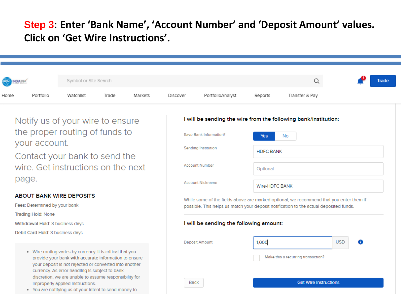### **Step 3: Enter 'Bank Name', 'Account Number' and 'Deposit Amount' values. Click on 'Get Wire Instructions'.**

|      |                                                                                               | Symbol or Site Search                                                                                                                                                                                                           |                                    |                                                                                                                                                                                   |                                         |                        |         | Q                                                               |                 | Trade |
|------|-----------------------------------------------------------------------------------------------|---------------------------------------------------------------------------------------------------------------------------------------------------------------------------------------------------------------------------------|------------------------------------|-----------------------------------------------------------------------------------------------------------------------------------------------------------------------------------|-----------------------------------------|------------------------|---------|-----------------------------------------------------------------|-----------------|-------|
| Home | Portfolio                                                                                     | Watchlist                                                                                                                                                                                                                       | Trade                              | Markets                                                                                                                                                                           | Discover                                | PortfolioAnalyst       | Reports | Transfer & Pay                                                  |                 |       |
|      |                                                                                               | Notify us of your wire to ensure                                                                                                                                                                                                |                                    |                                                                                                                                                                                   |                                         |                        |         | I will be sending the wire from the following bank/institution: |                 |       |
|      |                                                                                               | the proper routing of funds to                                                                                                                                                                                                  |                                    |                                                                                                                                                                                   |                                         | Save Bank Information? | Yes     | <b>No</b>                                                       |                 |       |
|      | your account.<br>Contact your bank to send the<br>wire. Get instructions on the next          |                                                                                                                                                                                                                                 |                                    | Sending Institution<br><b>HDFC BANK</b>                                                                                                                                           |                                         |                        |         |                                                                 |                 |       |
|      |                                                                                               |                                                                                                                                                                                                                                 |                                    |                                                                                                                                                                                   | <b>Account Number</b>                   | Optional               |         |                                                                 |                 |       |
|      | page.                                                                                         |                                                                                                                                                                                                                                 | Account Nickname<br>Wire-HDFC BANK |                                                                                                                                                                                   |                                         |                        |         |                                                                 |                 |       |
|      | <b>ABOUT BANK WIRE DEPOSITS</b><br>Fees: Determined by your bank<br><b>Trading Hold: None</b> |                                                                                                                                                                                                                                 |                                    | While some of the fields above are marked optional, we recommend that you enter them if<br>possible. This helps us match your deposit notification to the actual deposited funds. |                                         |                        |         |                                                                 |                 |       |
|      | Withdrawal Hold: 3 business days<br>Debit Card Hold: 3 business days                          |                                                                                                                                                                                                                                 |                                    |                                                                                                                                                                                   | I will be sending the following amount: |                        |         |                                                                 |                 |       |
|      |                                                                                               |                                                                                                                                                                                                                                 |                                    |                                                                                                                                                                                   |                                         | Deposit Amount         | 1,000   |                                                                 | <b>USD</b><br>⊕ |       |
|      |                                                                                               | . Wire routing varies by currency. It is critical that you<br>provide your bank with accurate information to ensure<br>your deposit is not rejected or converted into another<br>currency. As error handling is subject to bank |                                    |                                                                                                                                                                                   |                                         |                        |         | Make this a recurring transaction?                              |                 |       |
|      |                                                                                               | discretion, we are unable to assume responsibility for<br>Improperly applied instructions.<br>. You are notifying us of your intent to send money to                                                                            |                                    |                                                                                                                                                                                   | <b>Back</b>                             |                        |         | <b>Get Wire Instructions</b>                                    |                 |       |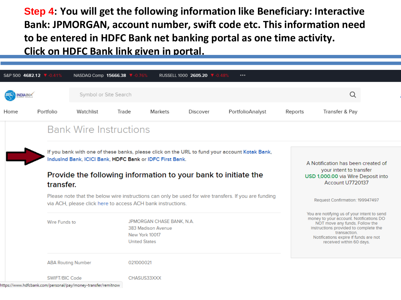**Step 4: You will get the following information like Beneficiary: Interactive Bank: JPMORGAN, account number, swift code etc. This information need to be entered in HDFC Bank net banking portal as one time activity. Click on HDFC Bank link given in portal.**

|                 | S&P 500 4682.12 V-0.41%                                     | NASDAQ Comp 15666.38 7-0.76%                                                                                                                                                                                                |       |                                                                                                      | RUSSELL 1000 2605.20 7-0.48% |                  |                                                                                                                         |                                                                                                                                                                                                                                                        |  |
|-----------------|-------------------------------------------------------------|-----------------------------------------------------------------------------------------------------------------------------------------------------------------------------------------------------------------------------|-------|------------------------------------------------------------------------------------------------------|------------------------------|------------------|-------------------------------------------------------------------------------------------------------------------------|--------------------------------------------------------------------------------------------------------------------------------------------------------------------------------------------------------------------------------------------------------|--|
| <b>INDIAINX</b> |                                                             | Symbol or Site Search                                                                                                                                                                                                       |       |                                                                                                      |                              |                  |                                                                                                                         | Q                                                                                                                                                                                                                                                      |  |
| Home            | Portfolio                                                   | Watchlist                                                                                                                                                                                                                   | Trade | Markets                                                                                              | Discover                     | PortfolioAnalyst | Reports                                                                                                                 | Transfer & Pay                                                                                                                                                                                                                                         |  |
|                 | <b>Bank Wire Instructions</b>                               |                                                                                                                                                                                                                             |       |                                                                                                      |                              |                  |                                                                                                                         |                                                                                                                                                                                                                                                        |  |
|                 |                                                             |                                                                                                                                                                                                                             |       |                                                                                                      |                              |                  |                                                                                                                         |                                                                                                                                                                                                                                                        |  |
|                 | transfer.                                                   | If you bank with one of these banks, please click on the URL to fund your account Kotak Bank,<br>IndusInd Bank, ICICI Bank, HDFC Bank or IDFC First Bank.<br>Provide the following information to your bank to initiate the |       |                                                                                                      |                              |                  | A Notification has been created of<br>your intent to transfer<br>USD 1,000.00 via Wire Deposit into<br>Account U7720137 |                                                                                                                                                                                                                                                        |  |
|                 | via ACH, please click here to access ACH bank instructions. |                                                                                                                                                                                                                             |       | Please note that the below wire instructions can only be used for wire transfers. If you are funding |                              |                  |                                                                                                                         | Request Confirmation: 199947497                                                                                                                                                                                                                        |  |
|                 | Wire Funds to                                               |                                                                                                                                                                                                                             |       | JPMORGAN CHASE BANK, N.A.<br>383 Madison Avenue<br>New York 10017<br><b>United States</b>            |                              |                  |                                                                                                                         | You are notifying us of your intent to send<br>money to your account. Notifications DO<br>NOT move any funds. Follow the<br>Instructions provided to complete the<br>transaction.<br>Notifications expire if funds are not<br>received within 60 days. |  |
|                 | <b>ABA Routing Number</b>                                   |                                                                                                                                                                                                                             |       | 021000021                                                                                            |                              |                  |                                                                                                                         |                                                                                                                                                                                                                                                        |  |
|                 | SWIFT/BIC Code                                              | https://www.hdfcbank.com/personal/pay/money-transfer/remitnow                                                                                                                                                               |       | CHASUS33XXX                                                                                          |                              |                  |                                                                                                                         |                                                                                                                                                                                                                                                        |  |
|                 |                                                             |                                                                                                                                                                                                                             |       |                                                                                                      |                              |                  |                                                                                                                         |                                                                                                                                                                                                                                                        |  |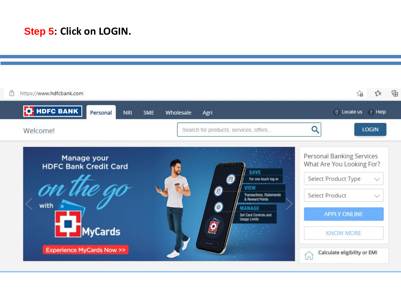### **Step 5: Click on LOGIN.**

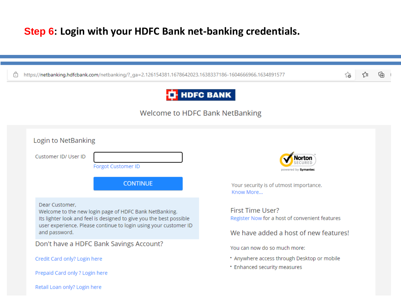### **Step 6: Login with your HDFC Bank net-banking credentials.**

|  |  | https://netbanking.hdfcbank.com/netbanking/?_ga=2.126154381.1678642023.1638337186-1604666966.1634891577 |
|--|--|---------------------------------------------------------------------------------------------------------|
|--|--|---------------------------------------------------------------------------------------------------------|

### **T**HDFC BANK

ど

సం

### Welcome to HDFC Bank NetBanking

| <b>Forgot Customer ID</b><br>powered by Symantec<br><b>CONTINUE</b><br>Your security is of utmost importance.<br>Know More<br>Dear Customer.<br><b>First Time User?</b><br>Welcome to the new login page of HDFC Bank NetBanking.<br>Register Now for a host of convenient features<br>Its lighter look and feel is designed to give you the best possible<br>user experience. Please continue to login using your customer ID<br>and password.<br>We have added a host of new features!<br>Don't have a HDFC Bank Savings Account?<br>You can now do so much more:<br>* Anywhere access through Desktop or mobile<br>Credit Card only? Login here |                      |  |
|----------------------------------------------------------------------------------------------------------------------------------------------------------------------------------------------------------------------------------------------------------------------------------------------------------------------------------------------------------------------------------------------------------------------------------------------------------------------------------------------------------------------------------------------------------------------------------------------------------------------------------------------------|----------------------|--|
|                                                                                                                                                                                                                                                                                                                                                                                                                                                                                                                                                                                                                                                    | Customer ID/ User ID |  |
|                                                                                                                                                                                                                                                                                                                                                                                                                                                                                                                                                                                                                                                    |                      |  |
|                                                                                                                                                                                                                                                                                                                                                                                                                                                                                                                                                                                                                                                    |                      |  |
|                                                                                                                                                                                                                                                                                                                                                                                                                                                                                                                                                                                                                                                    |                      |  |
|                                                                                                                                                                                                                                                                                                                                                                                                                                                                                                                                                                                                                                                    |                      |  |
|                                                                                                                                                                                                                                                                                                                                                                                                                                                                                                                                                                                                                                                    |                      |  |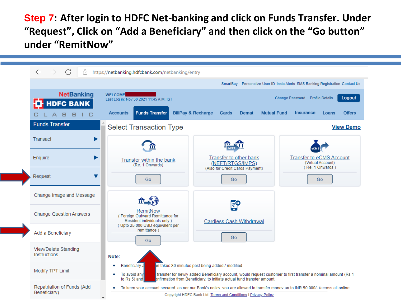**Step 7: After login to HDFC Net-banking and click on Funds Transfer. Under "Request", Click on "Add a Beneficiary" and then click on the "Go button" under "RemitNow"**

|  | C<br>$\leftarrow$<br>A                               | https://netbanking.hdfcbank.com/netbanking/entry                                                                                                                                                                                                                                                |
|--|------------------------------------------------------|-------------------------------------------------------------------------------------------------------------------------------------------------------------------------------------------------------------------------------------------------------------------------------------------------|
|  |                                                      | SmartBuy Personalize User ID Insta Alerts SMS Banking Registration Contact Us                                                                                                                                                                                                                   |
|  | <b>NetBanking</b><br><b>HDFC BANK</b><br>s<br>s<br>C | <b>WELCOME</b><br>Logout<br>Change Password Profile Details<br>Last Log in: Nov 30 2021 11:45 A.M. IST<br><b>Funds Transfer</b><br><b>BillPay &amp; Recharge</b><br><b>Mutual Fund</b><br>Insurance<br><b>Offers</b><br><b>Accounts</b><br>Cards<br><b>Demat</b><br>Loans                       |
|  | <b>Funds Transfer</b>                                | <b>Select Transaction Type</b><br><b>View Demo</b>                                                                                                                                                                                                                                              |
|  | Transact                                             |                                                                                                                                                                                                                                                                                                 |
|  | Enquire                                              | Transfer to other bank<br><b>Transfer to eCMS Account</b><br>Transfer within the bank<br>(Virtual Account)<br>(NEFT/RTGS/IMPS)<br>(Re. 1 Onwards)<br>(Re. 1 Onwards)<br>(Also for Credit Cards Payment)                                                                                         |
|  | Request<br>v                                         | Go<br>Go<br>Go                                                                                                                                                                                                                                                                                  |
|  | Change Image and Message                             | ಕ್ಷ್                                                                                                                                                                                                                                                                                            |
|  | <b>Change Question Answers</b>                       | RemitNow<br>(Foreign Outward Remittance for<br>Resident individuals only )<br><b>Cardless Cash Withdrawal</b>                                                                                                                                                                                   |
|  | Add a Beneficiary                                    | (Upto 25,000 USD equivalent per<br>remittance)<br>Go<br>Go                                                                                                                                                                                                                                      |
|  | View/Delete Standing<br><b>Instructions</b>          | Note:                                                                                                                                                                                                                                                                                           |
|  | Modify TPT Limit                                     | in takes 30 minutes post being added / modified.<br>Beneficiary a<br>To avoid any<br>transfer for newly added Beneficiary account, would request customer to first transfer a nominal amount (Rs 1<br>Infirmation from Beneficiary, to initiate actual fund transfer amount.<br>to $Rs 5$ ) and |
|  | Repatriation of Funds (Add                           | To keep your account secured as per our Bank's policy you are allowed to transfer money up to INR 50,000/- (across all online                                                                                                                                                                   |
|  | Beneficiary)                                         | Copyright HDFC Bank Ltd. Terms and Conditions   Privacy Policy                                                                                                                                                                                                                                  |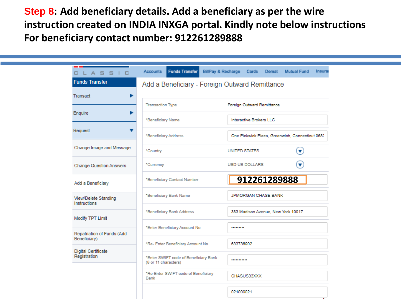**Step 8: Add beneficiary details. Add a beneficiary as per the wire instruction created on INDIA INXGA portal. Kindly note below instructions For beneficiary contact number: 912261289888**

| CLASSIC                                    | <b>Funds Transfer</b><br>Accounts                             | BillPay & Recharge<br>Cards<br><b>Mutual Fund</b><br>Demat | Insura |  |  |  |
|--------------------------------------------|---------------------------------------------------------------|------------------------------------------------------------|--------|--|--|--|
| <b>Funds Transfer</b>                      | Add a Beneficiary - Foreign Outward Remittance                |                                                            |        |  |  |  |
| <b>Transact</b><br>٠                       |                                                               |                                                            |        |  |  |  |
| Enquire                                    | <b>Transaction Type</b>                                       | Foreign Outward Remittance                                 |        |  |  |  |
| Request                                    | *Beneficiary Name                                             | Interactive Brokers LLC                                    |        |  |  |  |
|                                            | *Beneficiary Address                                          | One Pickwick Plaza, Greenwich, Connecticut 0683            |        |  |  |  |
| Change Image and Message                   | *Country                                                      | $(\blacktriangledown)$<br>UNITED STATES                    |        |  |  |  |
| <b>Change Question Answers</b>             | *Currency                                                     | $\mathbf \cdot$<br>USD-US DOLLARS                          |        |  |  |  |
| Add a Beneficiary                          | *Beneficiary Contact Number                                   | 912261289888                                               |        |  |  |  |
| View/Delete Standing<br>Instructions       | *Beneficiary Bank Name                                        | JPMORGAN CHASE BANK                                        |        |  |  |  |
| Modify TPT Limit                           | *Beneficiary Bank Address                                     | 383 Madison Avenue, New York 10017                         |        |  |  |  |
| Repatriation of Funds (Add                 | *Enter Beneficiary Account No                                 |                                                            |        |  |  |  |
| Beneficiary)                               | *Re- Enter Beneficiary Account No                             | 633736902                                                  |        |  |  |  |
| <b>Digital Certificate</b><br>Registration | *Enter SWIFT code of Beneficiary Bank<br>(8 or 11 characters) |                                                            |        |  |  |  |
|                                            | *Re-Enter SWIFT code of Beneficiary<br>Bank                   | CHASUS33XXX                                                |        |  |  |  |
|                                            |                                                               | 021000021                                                  |        |  |  |  |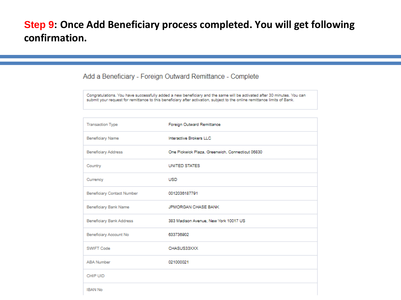### **Step 9: Once Add Beneficiary process completed. You will get following confirmation.**

### Add a Beneficiary - Foreign Outward Remittance - Complete

Congratulations. You have successfully added a new beneficiary and the same will be activated after 30 minutes. You can submit your request for remittance to this beneficiary after activation, subject to the online remittance limits of Bank.

| <b>Transaction Type</b>    | Foreign Outward Remittance                       |
|----------------------------|--------------------------------------------------|
| <b>Beneficiary Name</b>    | Interactive Brokers LLC                          |
| <b>Beneficiary Address</b> | One Pickwick Plaza, Greenwich, Connecticut 06830 |
| Country                    | UNITED STATES                                    |
| Currency                   | <b>USD</b>                                       |
| Beneficiary Contact Number | 0012036187791                                    |
| Beneficiary Bank Name      | JPMORGAN CHASE BANK                              |
| Beneficiary Bank Address   | 383 Madison Avenue, New York 10017 US            |
| Beneficiary Account No     | 633736902                                        |
| SWIFT Code                 | CHASUS33XXX                                      |
| <b>ABA Number</b>          | 021000021                                        |
| CHIP UID                   |                                                  |
| <b>IBAN No</b>             |                                                  |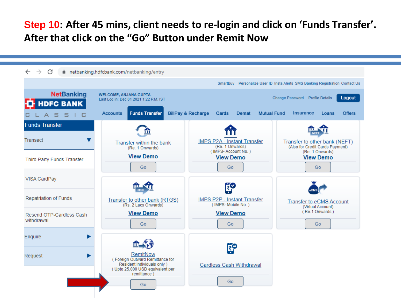### **Step 10: After 45 mins, client needs to re-login and click on 'Funds Transfer'. After that click on the "Go" Button under Remit Now**

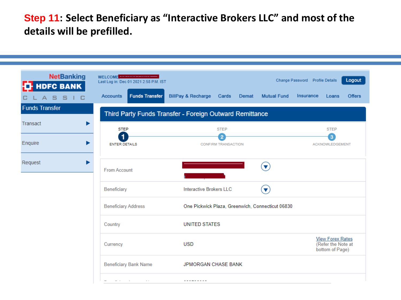**Step 11: Select Beneficiary as "Interactive Brokers LLC" and most of the details will be prefilled.** 

| <b>NetBanking</b><br><b>HDFC BANK</b><br>A 5 5 1 C | WELCOME <b>COMPANY WELCOME</b><br>Last Log in: Dec 01 2021 2:58 P.M. IST<br><b>Funds Transfer</b><br><b>Accounts</b> | <b>BillPay &amp; Recharge</b><br>Cards<br>Demat         | Logout<br>Change Password Profile Details<br><b>Mutual Fund</b><br>Insurance<br><b>Offers</b><br>Loans |
|----------------------------------------------------|----------------------------------------------------------------------------------------------------------------------|---------------------------------------------------------|--------------------------------------------------------------------------------------------------------|
| <b>Funds Transfer</b>                              |                                                                                                                      | Third Party Funds Transfer - Foreign Outward Remittance |                                                                                                        |
| Transact                                           | <b>STEP</b>                                                                                                          | <b>STEP</b>                                             | <b>STEP</b>                                                                                            |
| Enquire                                            | 1<br><b>ENTER DETAILS</b>                                                                                            | $\overline{2}$<br><b>CONFIRM TRANSACTION</b>            | 3<br><b>ACKNOWLEDGEMENT</b>                                                                            |
| Request                                            | <b>From Account</b>                                                                                                  |                                                         | $\overline{\mathbf{v}}$                                                                                |
|                                                    | Beneficiary                                                                                                          | <b>Interactive Brokers LLC</b>                          | $\overline{\textbf{v}}$                                                                                |
|                                                    | <b>Beneficiary Address</b>                                                                                           | One Pickwick Plaza, Greenwich, Connecticut 06830        |                                                                                                        |
|                                                    | Country                                                                                                              | <b>UNITED STATES</b>                                    |                                                                                                        |
|                                                    | Currency                                                                                                             | <b>USD</b>                                              | <b>View Forex Rates</b><br>(Refer the Note at<br>bottom of Page)                                       |
|                                                    | <b>Beneficiary Bank Name</b>                                                                                         | <b>JPMORGAN CHASE BANK</b>                              |                                                                                                        |
|                                                    | and the company of the<br>$\sim$ $\sim$                                                                              | ---------                                               |                                                                                                        |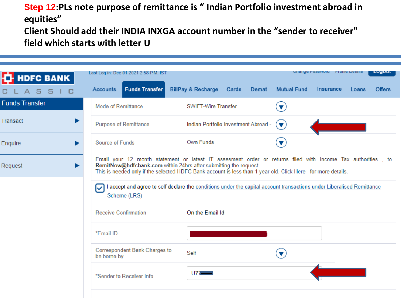**Step 12:PLs note purpose of remittance is " Indian Portfolio investment abroad in equities"**

**Client Should add their INDIA INXGA account number in the "sender to receiver" field which starts with letter U**

| <b>T</b> HDFC BANK    | Last Log in: Dec 01 2021 2:58 P.M. IST              |                                                                                                                                                                                                                                                                                                |                                      |                      | Change Fassword Frome Details |       | Luyuu         |
|-----------------------|-----------------------------------------------------|------------------------------------------------------------------------------------------------------------------------------------------------------------------------------------------------------------------------------------------------------------------------------------------------|--------------------------------------|----------------------|-------------------------------|-------|---------------|
|                       | <b>Funds Transfer</b><br><b>Accounts</b>            | <b>BillPay &amp; Recharge Cards</b>                                                                                                                                                                                                                                                            | Demat                                | <b>Mutual Fund</b>   | Insurance                     | Loans | <b>Offers</b> |
| <b>Funds Transfer</b> | <b>Mode of Remittance</b>                           | <b>SWIFT-Wire Transfer</b>                                                                                                                                                                                                                                                                     |                                      | $\blacktriangledown$ |                               |       |               |
| Transact              | <b>Purpose of Remittance</b>                        |                                                                                                                                                                                                                                                                                                | Indian Portfolio Investment Abroad - | v                    |                               |       |               |
| Enquire<br>▶          | Source of Funds                                     | Own Funds                                                                                                                                                                                                                                                                                      |                                      |                      |                               |       |               |
| Request<br>▶          |                                                     | Email your 12 month statement or latest IT assesment order or returns filed with Income Tax authorities, to<br>RemitNow@hdfcbank.com within 24hrs after submitting the request.<br>This is needed only if the selected HDFC Bank account is less than 1 year old. Click Here for more details. |                                      |                      |                               |       |               |
|                       | ▽<br>Scheme (LRS)                                   | I accept and agree to self declare the conditions under the capital account transactions under Liberalised Remittance                                                                                                                                                                          |                                      |                      |                               |       |               |
|                       | <b>Receive Confirmation</b>                         | On the Email Id                                                                                                                                                                                                                                                                                |                                      |                      |                               |       |               |
|                       | *Email ID                                           |                                                                                                                                                                                                                                                                                                |                                      |                      |                               |       |               |
|                       | <b>Correspondent Bank Charges to</b><br>be borne by | Self                                                                                                                                                                                                                                                                                           |                                      |                      |                               |       |               |
|                       | *Sender to Receiver Info                            | U77                                                                                                                                                                                                                                                                                            |                                      |                      |                               |       |               |
|                       |                                                     |                                                                                                                                                                                                                                                                                                |                                      |                      |                               |       |               |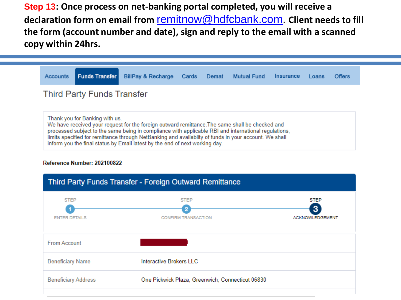**Step 13: Once process on net-banking portal completed, you will receive a declaration form on email from** [remitnow@hdfcbank.com.](mailto:remitnow@hdfcbank.com) **Client needs to fill the form (account number and date), sign and reply to the email with a scanned copy within 24hrs.** 



Thank you for Banking with us. We have received your request for the foreign outward remittance. The same shall be checked and processed subject to the same being in compliance with applicable RBI and international regulations. limits specified for remittance through NetBanking and availablity of funds in your account. We shall inform you the final status by Email latest by the end of next working day.

#### Reference Number: 202100822